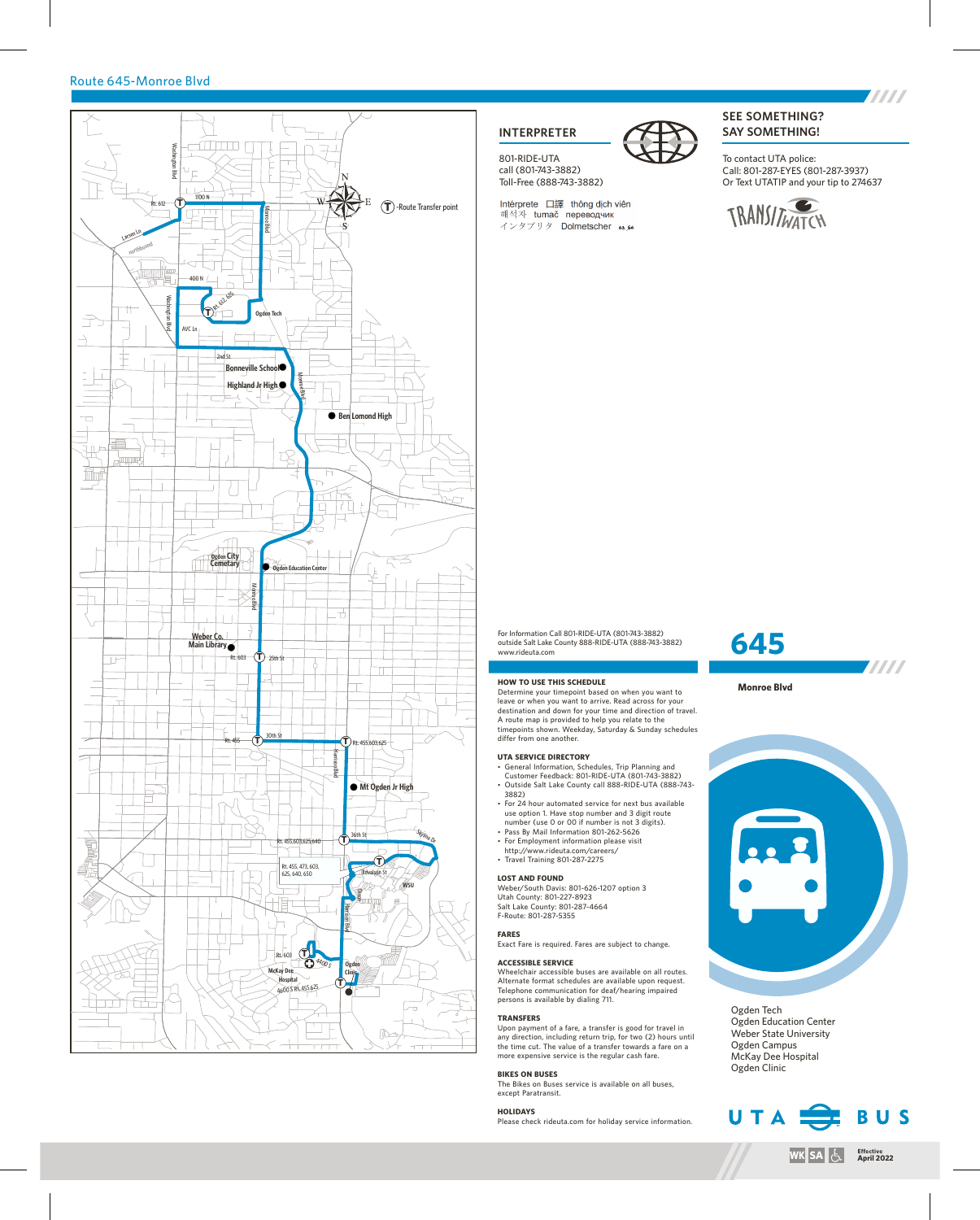## Route 645-Monroe Blvd



# **INTERPRETER**

801-RIDE-UTA call (801-743-3882) Toll-Free (888-743-3882)

Intérprete 口譯 thông dịch viên 해석자 tumač переводчик インタプリタ Dolmetscher \*\* **SEE SOMETHING? SAY SOMETHING!**

To contact UTA police: Call: 801-287-EYES (801-287-3937) Or Text UTATIP and your tip to 274637



## For Information Call 801-RIDE-UTA (801-743-3882) outside Salt Lake County 888-RIDE-UTA (888-743-3882)

#### **HOW TO USE THIS SCHEDULE**

www.rideuta.com

Determine your timepoint based on when you want to leave or when you want to arrive. Read across for your destination and down for your time and direction of travel. A route map is provided to help you relate to the timepoints shown. Weekday, Saturday & Sunday schedules differ from one another.

## **UTA SERVICE DIRECTORY**

- General Information, Schedules, Trip Planning and Customer Feedback: 801-RIDE-UTA (801-743-3882) • Outside Salt Lake County call 888-RIDE-UTA (888-743-3882)
- For 24 hour automated service for next bus available use option 1. Have stop number and 3 digit route
- number (use 0 or 00 if number is not 3 digits). • Pass By Mail Information 801-262-5626
- For Employment information please visit http://www.rideuta.com/careers/
- $\cdot$  Travel Training 801-287-2275

### **LOST AND FOUND**

Weber/South Davis: 801-626-1207 option 3 Utah County: 801-227-8923 Salt Lake County: 801-287-4664 F-Route: 801-287-5355

#### **FARES**

Exact Fare is required. Fares are subject to change.

#### **ACCESSIBLE SERVICE**

Wheelchair accessible buses are available on all routes. Alternate format schedules are available upon request. Telephone communication for deaf/hearing impaired is available by dialing 711.

#### **TRANSFERS**

Upon payment of a fare, a transfer is good for travel in any direction, including return trip, for two (2) hours until the time cut. The value of a transfer towards a fare on a more expensive service is the regular cash fare.

#### **BIKES ON BUSES**

The Bikes on Buses service is available on all buses, except Paratransit.

#### **HOLIDAYS**

Please check rideuta.com for holiday service information.

# **645**

**Monroe Blvd**



**TITTI** 

Ogden Tech Ogden Education Center Weber State University Ogden Campus McKay Dee Hospital Ogden Clinic



**THE REAL**